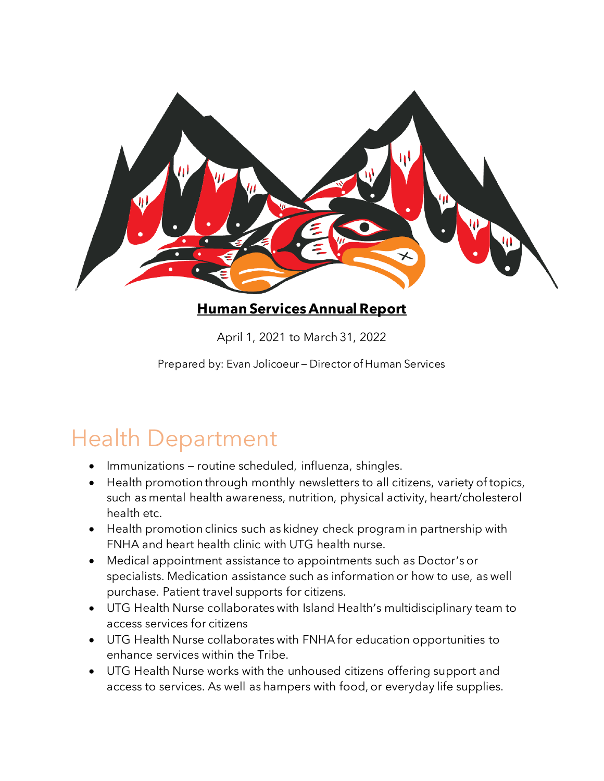

#### **Human Services Annual Report**

April 1, 2021 to March 31, 2022

Prepared by: Evan Jolicoeur – Director of Human Services

# Health Department

- Immunizations routine scheduled, influenza, shingles.
- Health promotion through monthly newsletters to all citizens, variety of topics, such as mental health awareness, nutrition, physical activity, heart/cholesterol health etc.
- Health promotion clinics such as kidney check program in partnership with FNHA and heart health clinic with UTG health nurse.
- Medical appointment assistance to appointments such as Doctor's or specialists. Medication assistance such as information or how to use, as well purchase. Patient travel supports for citizens.
- UTG Health Nurse collaborates with Island Health's multidisciplinary team to access services for citizens
- UTG Health Nurse collaborates with FNHA for education opportunities to enhance services within the Tribe.
- UTG Health Nurse works with the unhoused citizens offering support and access to services. As well as hampers with food, or everyday life supplies.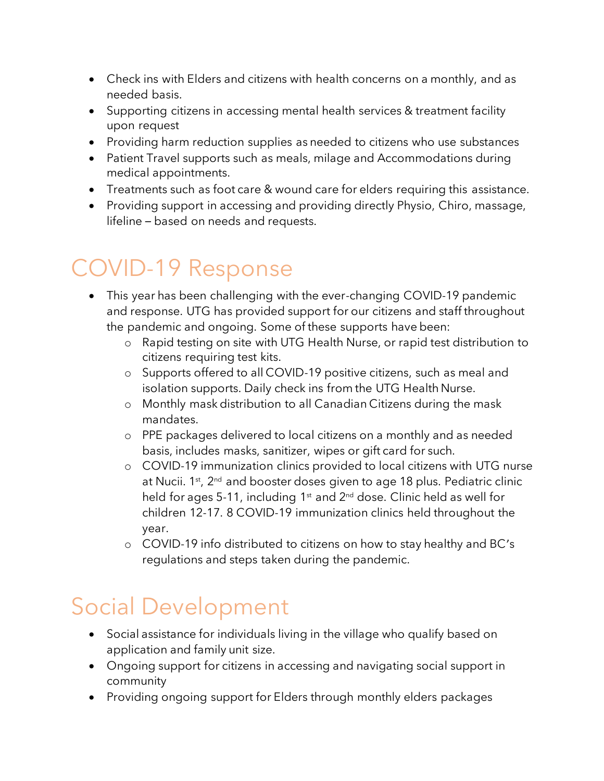- Check ins with Elders and citizens with health concerns on a monthly, and as needed basis.
- Supporting citizens in accessing mental health services & treatment facility upon request
- Providing harm reduction supplies as needed to citizens who use substances
- Patient Travel supports such as meals, milage and Accommodations during medical appointments.
- Treatments such as foot care & wound care for elders requiring this assistance.
- Providing support in accessing and providing directly Physio, Chiro, massage, lifeline – based on needs and requests.

# COVID-19 Response

- This year has been challenging with the ever-changing COVID-19 pandemic and response. UTG has provided support for our citizens and staff throughout the pandemic and ongoing. Some of these supports have been:
	- o Rapid testing on site with UTG Health Nurse, or rapid test distribution to citizens requiring test kits.
	- o Supports offered to all COVID-19 positive citizens, such as meal and isolation supports. Daily check ins from the UTG Health Nurse.
	- o Monthly mask distribution to all Canadian Citizens during the mask mandates.
	- o PPE packages delivered to local citizens on a monthly and as needed basis, includes masks, sanitizer, wipes or gift card for such.
	- o COVID-19 immunization clinics provided to local citizens with UTG nurse at Nucii. 1<sup>st</sup>, 2<sup>nd</sup> and booster doses given to age 18 plus. Pediatric clinic held for ages 5-11, including  $1<sup>st</sup>$  and  $2<sup>nd</sup>$  dose. Clinic held as well for children 12-17. 8 COVID-19 immunization clinics held throughout the year.
	- o COVID-19 info distributed to citizens on how to stay healthy and BC's regulations and steps taken during the pandemic.

### Social Development

- Social assistance for individuals living in the village who qualify based on application and family unit size.
- Ongoing support for citizens in accessing and navigating social support in community
- Providing ongoing support for Elders through monthly elders packages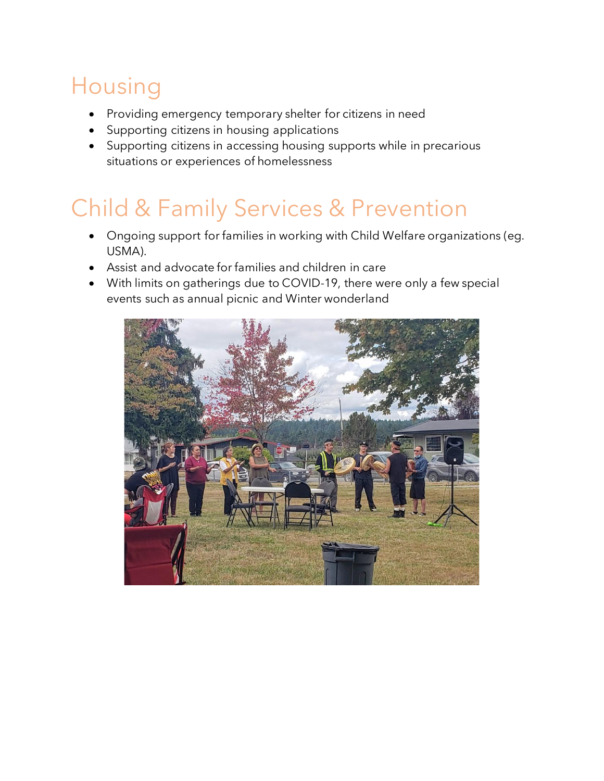# Housing

- Providing emergency temporary shelter for citizens in need
- Supporting citizens in housing applications
- Supporting citizens in accessing housing supports while in precarious situations or experiences of homelessness

# Child & Family Services & Prevention

- Ongoing support for families in working with Child Welfare organizations (eg. USMA).
- Assist and advocate for families and children in care
- With limits on gatherings due to COVID-19, there were only a few special events such as annual picnic and Winter wonderland

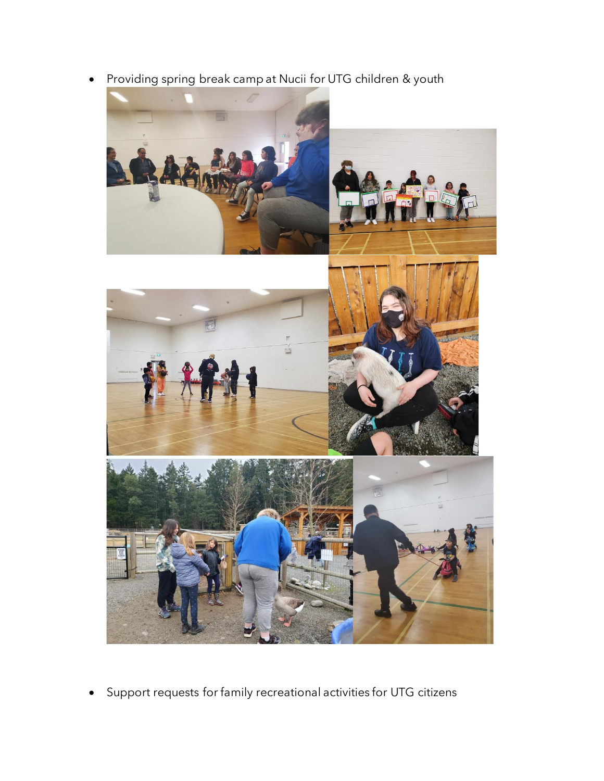• Providing spring break camp at Nucii for UTG children & youth



• Support requests for family recreational activities for UTG citizens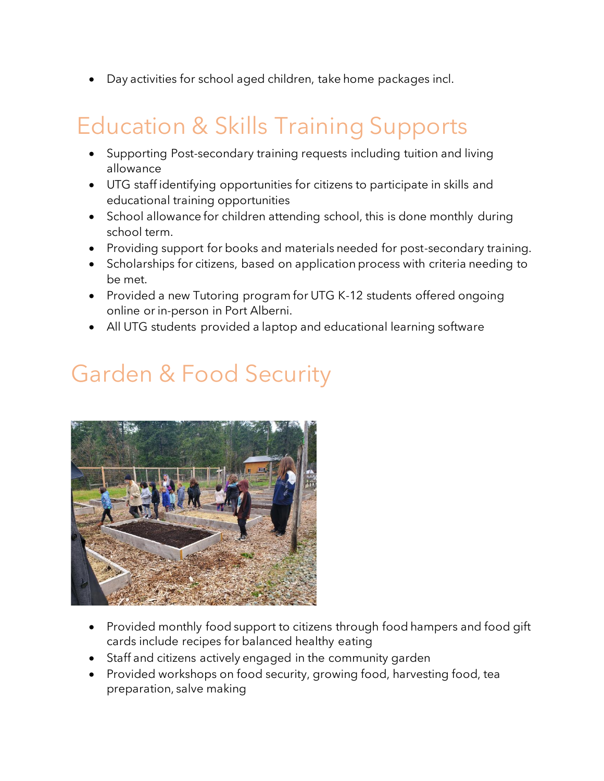• Day activities for school aged children, take home packages incl.

# Education & Skills Training Supports

- Supporting Post-secondary training requests including tuition and living allowance
- UTG staff identifying opportunities for citizens to participate in skills and educational training opportunities
- School allowance for children attending school, this is done monthly during school term.
- Providing support for books and materials needed for post-secondary training.
- Scholarships for citizens, based on application process with criteria needing to be met.
- Provided a new Tutoring program for UTG K-12 students offered ongoing online or in-person in Port Alberni.
- All UTG students provided a laptop and educational learning software

## Garden & Food Security



- Provided monthly food support to citizens through food hampers and food gift cards include recipes for balanced healthy eating
- Staff and citizens actively engaged in the community garden
- Provided workshops on food security, growing food, harvesting food, tea preparation, salve making